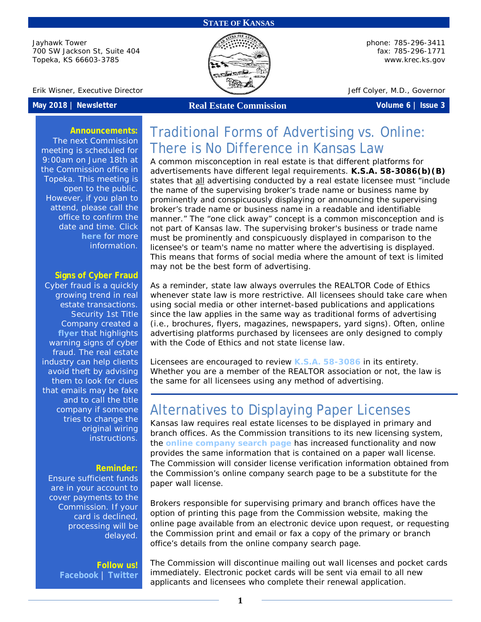### **STATE OF KANSAS**

Jayhawk Tower 700 SW Jackson St, Suite 404 Topeka, KS 66603-3785



phone: 785-296-3411 fax: 785-296-1771 [www.krec.ks.gov](http://www.krec.ks.gov/)

Erik Wisner, Executive Director Jeff Colyer, M.D., Governor

**May 2018 | Newsletter Real Estate Commission Volume 6 | Issue 3**

### **Announcements:**

The next Commission meeting is scheduled for 9:00am on June 18th at the Commission office in Topeka. This meeting is open to the public. However, if you plan to attend, please call the office to confirm the date and time. Click **[here](http://krec.ks.gov/commission/commission-meetings)** for more information.

### **Signs of Cyber Fraud**

Cyber fraud is a quickly growing trend in real estate transactions. Security 1st Title Company created [a](https://www.security1stks.com/media/files/SEC-CyberCrime-RedFlags.pdf) **[flyer](https://www.security1stks.com/media/files/SEC-CyberCrime-RedFlags.pdf)** that highlights warning signs of cyber fraud. The real estate industry can help clients avoid theft by advising them to look for clues that emails may be fake and to call the title company if someone tries to change the original wiring instructions.

### **Reminder:**

Ensure sufficient funds are in your account to cover payments to the Commission. If your card is declined, processing will be delayed.

> **Follow us! [Facebook](https://www.facebook.com/kansasrealestatecommission)** | **[Twitter](https://twitter.com/KSRealEstateCom)**

# Traditional Forms of Advertising vs. Online: There is No Difference in Kansas Law

A common misconception in real estate is that different platforms for advertisements have different legal requirements. **K.S.A. 58-3086(b)(B)** states that all advertising conducted by a real estate licensee must "include the name of the supervising broker's trade name or business name by prominently and conspicuously displaying or announcing the supervising broker's trade name or business name in a readable and identifiable manner." The "one click away" concept is a common misconception and is not part of Kansas law. The supervising broker's business or trade name must be prominently and conspicuously displayed in comparison to the licensee's or team's name no matter where the advertising is displayed. This means that forms of social media where the amount of text is limited may not be the best form of advertising.

As a reminder, state law always overrules the REALTOR Code of Ethics whenever state law is more restrictive. All licensees should take care when using social media or other internet-based publications and applications since the law applies in the same way as traditional forms of advertising (i.e., brochures, flyers, magazines, newspapers, yard signs). Often, online advertising platforms purchased by licensees are only designed to comply with the Code of Ethics and not state license law.

Licensees are encouraged to review **K.S.A. [58-3086](https://www.krec.ks.gov/docs/default-source/default-document-library/kansas-real-estate-commission-statutes-rules-and-regulations.pdf?sfvrsn=13)** in its entirety. Whether you are a member of the REALTOR association or not, the law is the same for all licensees using any method of advertising.

## Alternatives to Displaying Paper Licenses

Kansas law requires real estate licenses to be displayed in primary and branch offices. As the Commission transitions to its new licensing system, the **[online company search page](https://licensing.ks.gov/verification_krec/Search.aspx?facility=Y)** has increased functionality and now provides the same information that is contained on a paper wall license. The Commission will consider license verification information obtained from the Commission's online company search page to be a substitute for the paper wall license.

Brokers responsible for supervising primary and branch offices have the option of printing this page from the Commission website, making the online page available from an electronic device upon request, or requesting the Commission print and email or fax a copy of the primary or branch office's details from the online company search page.

The Commission will discontinue mailing out wall licenses and pocket cards immediately. Electronic pocket cards will be sent via email to all new applicants and licensees who complete their renewal application.